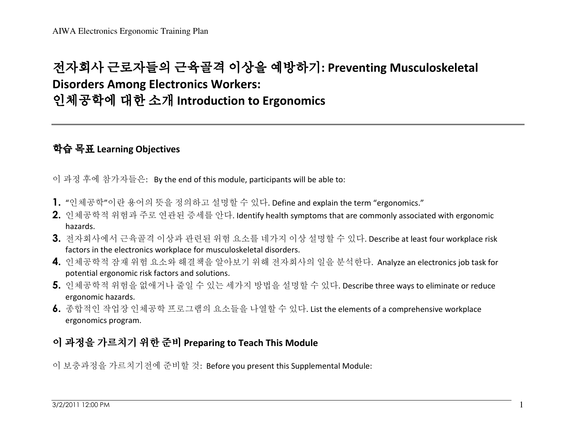## 전자회사 근로자들의 근육골격 이상을 예방하기: Preventing Musculoskeletal<br>Disorders Among Electronics Workers: Disorders Among Electronics Workers: 인체공학에 대한 소개 Introduction to Ergonomics

## 학습 목표 Learning Objectives

이 과정 후에 참가자들은: By the end of this module, participants will be able to:

- 1. "인체공학"이란 용어의 뜻을 정의하고 설명할 <sup>수</sup> 있다. Define and explain the term "ergonomics."
- 2. 인체공학적 위험과 주로 연관된 증세를 안다. Identify health symptoms that are commonly associated with ergonomic hazards.
- 3. 전자회사에서 근육골격 이상과 관련된 위험 요소를 네가지 이상 설명할 <sup>수</sup> 있다. Describe at least four workplace risk factors in the electronics workplace for musculoskeletal disorders.
- 4. 인체공학적 잠재 위험 요소와 해결책을 알아보기 위해 전자회사의 일을 분석한다. Analyze an electronics job task for potential ergonomic risk factors and solutions.
- 5. 인체공학적 위험을 없애거나 줄일 <sup>수</sup> 있는 세가지 방법을 설명할 <sup>수</sup> 있다. Describe three ways to eliminate or reduce ergonomic hazards.
- 6. 종합적인 작업장 인체공학 프로그램의 요소들을 나열할 <sup>수</sup> 있다. List the elements of a comprehensive workplace ergonomics program.

## 이 과정을 가르치기 위한 준비 Preparing to Teach This Module

이 보충과정을 가르치기전에 준비할 <sup>것</sup>: Before you present this Supplemental Module: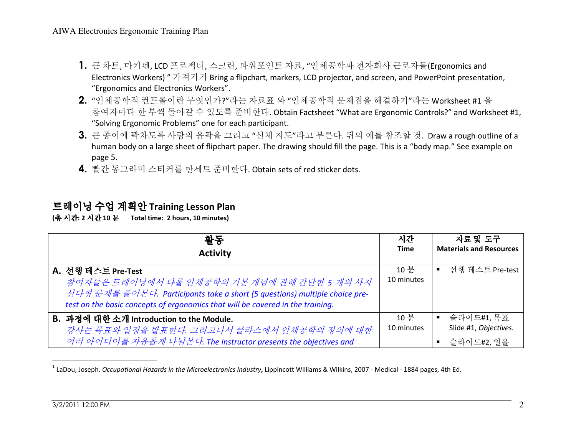- 1. 큰 차트, 마커펜, LCD 프로젝터, 스크린, 파워포인트 자료, "인체공학과 전자회사 근로자들(Ergonomics and Electronics Workers) " 가져가기 Bring a flipchart, markers, LCD projector, and screen, and PowerPoint presentation, "Ergonomics and Electronics Workers".
- 2. "인체공학적 컨트롤이란 무엇인가?"라는 자료표 <sup>와</sup> "인체공학적 문제점을 해결하기"라는 Worksheet #1 <sup>을</sup> 참여자마다 한 부씩 돌아갈 수 있도록 준비한다. Obtain Factsheet "What are Ergonomic Controls?" and Worksheet #1,<br>"Solving Ergonomic Problems" one for each particinant "Solving Ergonomic Problems" one for each participant.
- 3. 큰 종이에 꽉차도록 사람의 윤곽을 그리고 "신체 지도"라고 부른다. 뒤의 예를 참조할 <sup>것</sup>. Draw a rough outline of a human body on a large sheet of flipchart paper. The drawing should fill the page. This is a "body map." See example on page 5.
- 4. 빨간 동그라미 스티커를 한세트 준비한다. Obtain sets of red sticker dots.

## 트레이닝 수업 계획안 Training Lesson Plan<br>㈜ 시간 2 시간 10 분 Total time: 2 hours. 10 minutes)

(총 시간: 2 시간 10 분 Total time: 2 hours, 10 minutes)

| 활동                                                                             | 시간          | 자료 및 도구                        |
|--------------------------------------------------------------------------------|-------------|--------------------------------|
| <b>Activity</b>                                                                | <b>Time</b> | <b>Materials and Resources</b> |
| A. 선행 테스트 Pre-Test                                                             | 10 분        | ■ 선행 테스트 Pre-test              |
| 참여자들은 트레이닝에서 다룰 인체공학의 기본 개념에 관해 간단한 5 개의 사지                                    | 10 minutes  |                                |
| 선다형문제를 풀어본다. Participants take a short (5 questions) multiple choice pre-      |             |                                |
| test on the basic concepts of ergonomics that will be covered in the training. |             |                                |
| B. 과정에 대한 소개 Introduction to the Module.                                       | 10 부        | 슬라이드#1,목표<br>$\blacksquare$    |
| 강사는 목표와 일정을 발표한다. 그리고나서 클라스에서 인체공학의 정의에 대한                                     | 10 minutes  | Slide #1, Objectives.          |
| 여러 아이디어를 자유롭게 나눠본다. The instructor presents the objectives and                 |             | ■ 슬라이드#2, 일을                   |
|                                                                                |             |                                |

 $1$  LaDou, Joseph. Occupational Hazards in the Microelectronics Industry, Lippincott Williams & Wilkins, 2007 - Medical - 1884 pages, 4th Ed.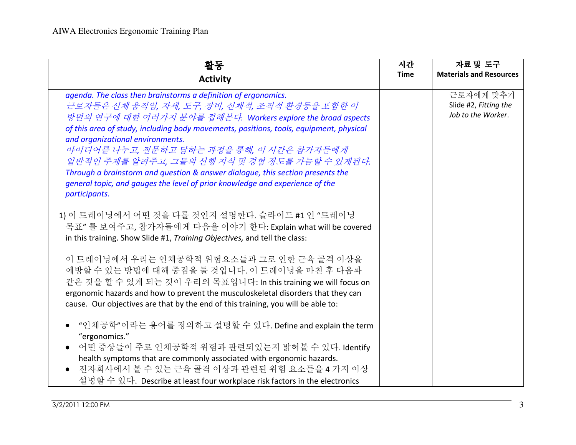| 활동<br><b>Activity</b>                                                                                                                                                                                                                                                                                                                                                                                                                                                                                                                                                                        | 시간<br><b>Time</b> | 자료 및 도구<br><b>Materials and Resources</b>                |
|----------------------------------------------------------------------------------------------------------------------------------------------------------------------------------------------------------------------------------------------------------------------------------------------------------------------------------------------------------------------------------------------------------------------------------------------------------------------------------------------------------------------------------------------------------------------------------------------|-------------------|----------------------------------------------------------|
| agenda. The class then brainstorms a definition of ergonomics.<br>근로자들은 신체 움직임, 자세, 도구, 장비, 신체적, 조직적 환경등을 포함한 이<br>방면의 연구에 대한 여러가지 분야를 접해본다. Workers explore the broad aspects<br>of this area of study, including body movements, positions, tools, equipment, physical<br>and organizational environments.<br>아이디어를 나누고, 질문하고 답하는 과정을 통해, 이 시간은 참가자들에게<br>일반적인 주제를 알려주고, 그들의 선행 지식 및 경험 정도를 가늠할 수 있게된다.<br>Through a brainstorm and question & answer dialogue, this section presents the<br>general topic, and gauges the level of prior knowledge and experience of the<br>participants. |                   | 근로자에게 맞추기<br>Slide #2, Fitting the<br>Job to the Worker. |
| 1) 이 트레이닝에서 어떤 것을 다룰 것인지 설명한다. 슬라이드 #1 인 "트레이닝<br>목표" 를 보여주고, 참가자들에게 다음을 이야기 한다: Explain what will be covered<br>in this training. Show Slide #1, Training Objectives, and tell the class:                                                                                                                                                                                                                                                                                                                                                                                                   |                   |                                                          |
| 이 트레이닝에서 우리는 인체공학적 위험요소들과 그로 인한 근육 골격 이상을<br>예방할 수 있는 방법에 대해 중점을 둘 것입니다. 이 트레이닝을 마친 후 다음과<br>같은 것을 할 수 있게 되는 것이 우리의 목표입니다: In this training we will focus on<br>ergonomic hazards and how to prevent the musculoskeletal disorders that they can<br>cause. Our objectives are that by the end of this training, you will be able to:                                                                                                                                                                                                                                                         |                   |                                                          |
| "인체공학"이라는 용어를 정의하고 설명할 수 있다. Define and explain the term<br>"ergonomics."<br>어떤 증상들이 주로 인체공학적 위험과 관련되있는지 밝혀볼 수 있다. Identify<br>health symptoms that are commonly associated with ergonomic hazards.<br>전자회사에서 볼 수 있는 근육 골격 이상과 관련된 위험 요소들을 4 가지 이상<br>설명할 수 있다. Describe at least four workplace risk factors in the electronics                                                                                                                                                                                                                                                             |                   |                                                          |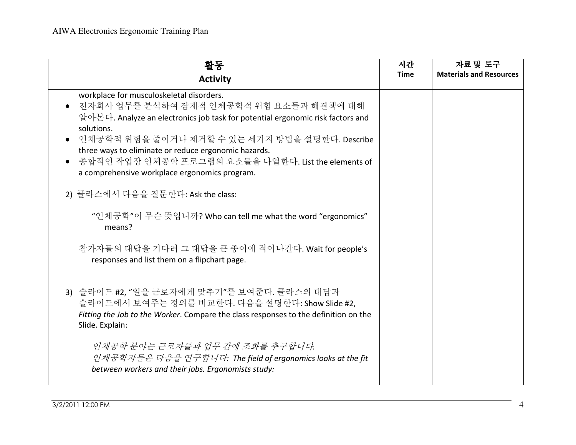| 활동                                                                                                                                                                                                                                                                                                                                                                                                    | 시간<br><b>Time</b> | 자료 및 도구<br><b>Materials and Resources</b> |
|-------------------------------------------------------------------------------------------------------------------------------------------------------------------------------------------------------------------------------------------------------------------------------------------------------------------------------------------------------------------------------------------------------|-------------------|-------------------------------------------|
| <b>Activity</b>                                                                                                                                                                                                                                                                                                                                                                                       |                   |                                           |
| workplace for musculoskeletal disorders.<br>전자회사 업무를 분석하여 잠재적 인체공학적 위험 요소들과 해결책에 대해<br>알아본다. Analyze an electronics job task for potential ergonomic risk factors and<br>solutions.<br>인체공학적 위험을 줄이거나 제거할 수 있는 세가지 방법을 설명한다. Describe<br>three ways to eliminate or reduce ergonomic hazards.<br>종합적인 작업장 인체공학 프로그램의 요소들을 나열한다. List the elements of<br>a comprehensive workplace ergonomics program. |                   |                                           |
| 2) 클라스에서 다음을 질문한다: Ask the class:                                                                                                                                                                                                                                                                                                                                                                     |                   |                                           |
| "인체공학"이 무슨 뜻입니까? Who can tell me what the word "ergonomics"<br>means?                                                                                                                                                                                                                                                                                                                                 |                   |                                           |
| 참가자들의 대답을 기다려 그 대답을 큰 종이에 적어나간다. Wait for people's<br>responses and list them on a flipchart page.                                                                                                                                                                                                                                                                                                    |                   |                                           |
| 3) 슬라이드 #2, "일을 근로자에게 맞추기"를 보여준다. 클라스의 대답과<br>슬라이드에서 보여주는 정의를 비교한다. 다음을 설명한다: Show Slide #2,<br>Fitting the Job to the Worker. Compare the class responses to the definition on the<br>Slide. Explain:                                                                                                                                                                                                |                   |                                           |
| 인체공학 분야는 근로자들과 업무 간에 조화를 추구합니다.<br>인체공학자들은 다음을 연구합니다. The field of ergonomics looks at the fit<br>between workers and their jobs. Ergonomists study:                                                                                                                                                                                                                                                  |                   |                                           |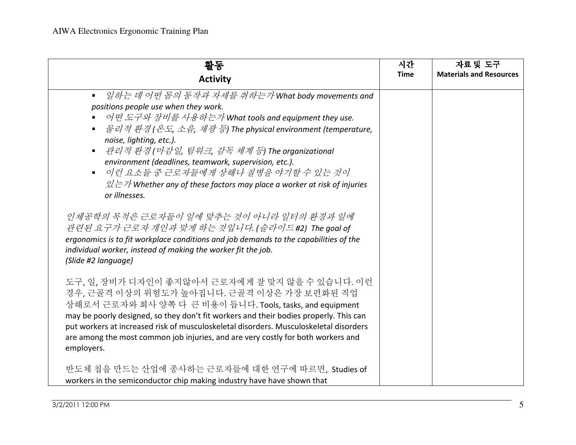| 활동                                                                                                                                                                                                                                                                                                                                                                                                                                                                                                                                                                | 시간          | 자료 및 도구                        |
|-------------------------------------------------------------------------------------------------------------------------------------------------------------------------------------------------------------------------------------------------------------------------------------------------------------------------------------------------------------------------------------------------------------------------------------------------------------------------------------------------------------------------------------------------------------------|-------------|--------------------------------|
| <b>Activity</b>                                                                                                                                                                                                                                                                                                                                                                                                                                                                                                                                                   | <b>Time</b> | <b>Materials and Resources</b> |
| ■ 일하는 데 어떤 몸의 동작과 자세를 취하는가 What body movements and<br>positions people use when they work.<br>■ 어떤 도구와 장비를 사용하는가 What tools and equipment they use.<br>■ 물리적 환경(온도, 소음, 채광 등) The physical environment (temperature,<br>noise, lighting, etc.).<br>관리적 환경(마감일, 팀워크, 감독 체계 등) The organizational<br>$\blacksquare$<br>environment (deadlines, teamwork, supervision, etc.).<br>이런 요소들 중 근로자들에게 상해나 질병을 야기할 수 있는 것이<br>$\blacksquare$<br>$\mathcal{Q} \rightarrow \mathcal{Z}$ Whether any of these factors may place a worker at risk of injuries<br>or illnesses. |             |                                |
| 인체공학의 목적은 근로자들이 일에 맞추는 것이 아니라 일터의 환경과 일에<br>관련된 요구가 근로자 개인과 맞게 하는 것입니다. (슬라이드 #2) The goal of<br>ergonomics is to fit workplace conditions and job demands to the capabilities of the<br>individual worker, instead of making the worker fit the job.<br>(Slide #2 language)                                                                                                                                                                                                                                                                                      |             |                                |
| 도구, 일, 장비가 디자인이 좋지않아서 근로자에게 잘 맞지 않을 수 있습니다. 이런<br>경우, 근골격 이상의 위험도가 높아집니다. 근골격 이상은 가장 보편화된 직업<br>상해로서 근로자와 회사 양쪽 다 큰 비용이 듭니다. Tools, tasks, and equipment<br>may be poorly designed, so they don't fit workers and their bodies properly. This can<br>put workers at increased risk of musculoskeletal disorders. Musculoskeletal disorders<br>are among the most common job injuries, and are very costly for both workers and<br>employers.                                                                                                                      |             |                                |
| 반도체 칩을 만드는 산업에 종사하는 근로자들에 대한 연구에 따르면, Studies of<br>workers in the semiconductor chip making industry have have shown that                                                                                                                                                                                                                                                                                                                                                                                                                                        |             |                                |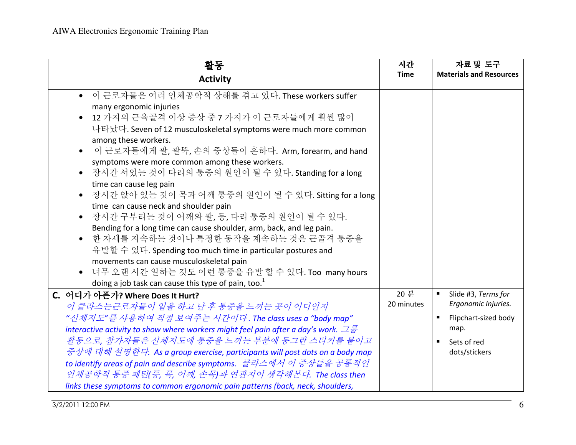| 활동                                                                                                                                                                                                                                                                                                                                                                                                                                                                                                                                                                                                                                                                                                                                                                                                                                                                                                                                                           | 시간                 | 자료 및 도구                                                                                      |
|--------------------------------------------------------------------------------------------------------------------------------------------------------------------------------------------------------------------------------------------------------------------------------------------------------------------------------------------------------------------------------------------------------------------------------------------------------------------------------------------------------------------------------------------------------------------------------------------------------------------------------------------------------------------------------------------------------------------------------------------------------------------------------------------------------------------------------------------------------------------------------------------------------------------------------------------------------------|--------------------|----------------------------------------------------------------------------------------------|
| <b>Activity</b>                                                                                                                                                                                                                                                                                                                                                                                                                                                                                                                                                                                                                                                                                                                                                                                                                                                                                                                                              | <b>Time</b>        | <b>Materials and Resources</b>                                                               |
| • 이 근로자들은 여러 인체공학적 상해를 겪고 있다. These workers suffer<br>many ergonomic injuries<br>12 가지의 근육골격 이상 증상 중 7 가지가 이 근로자들에게 훨씬 많이<br>$\bullet$<br>나타났다. Seven of 12 musculoskeletal symptoms were much more common<br>among these workers.<br>이 근로자들에게 팔, 팔뚝, 손의 증상들이 흔하다. Arm, forearm, and hand<br>$\bullet$<br>symptoms were more common among these workers.<br>장시간 서있는 것이 다리의 통증의 원인이 될 수 있다. Standing for a long<br>$\bullet$<br>time can cause leg pain<br>장시간 앉아 있는 것이 목과 어깨 통증의 원인이 될 수 있다. Sitting for a long<br>time can cause neck and shoulder pain<br>장시간 구부리는 것이 어깨와 팔, 등, 다리 통증의 원인이 될 수 있다.<br>Bending for a long time can cause shoulder, arm, back, and leg pain.<br>한 자세를 지속하는 것이나 특정한 동작을 계속하는 것은 근골격 통증을<br>유발할 수 있다. Spending too much time in particular postures and<br>movements can cause musculoskeletal pain<br>너무 오랜 시간 일하는 것도 이런 통증을 유발 할 수 있다. Too many hours<br>$\bullet$<br>doing a job task can cause this type of pain, too. $1$ |                    |                                                                                              |
| C. 어디가 아픈가? Where Does It Hurt?<br>이 클라스는근로자들이 일을 하고 난 후 통증을 느끼는 곳이 어디인지<br>"신체지도"를 사용하여 직접 보여주는 시간이다. The class uses a "body map"<br>interactive activity to show where workers might feel pain after a day's work. $\Box \vec{\Xi}$                                                                                                                                                                                                                                                                                                                                                                                                                                                                                                                                                                                                                                                                                                                        | 20 분<br>20 minutes | Slide #3, Terms for<br>Ergonomic Injuries.<br>$\blacksquare$<br>Flipchart-sized body<br>map. |
| 활동으로, 참가자들은 신체지도에 통증을 느끼는 부분에 동그란 스티커를 붙이고<br>증상에 대해 설명한다. As a group exercise, participants will post dots on a body map<br>to identify areas of pain and describe symptoms. 클라스에서 이 증상들을 공통적인<br>인체공학적 통증 패턴(등, 목, 어깨, 손목)과 연관지어 생각해본다. The class then<br>links these symptoms to common ergonomic pain patterns (back, neck, shoulders,                                                                                                                                                                                                                                                                                                                                                                                                                                                                                                                                                                                                                   |                    | Sets of red<br>dots/stickers                                                                 |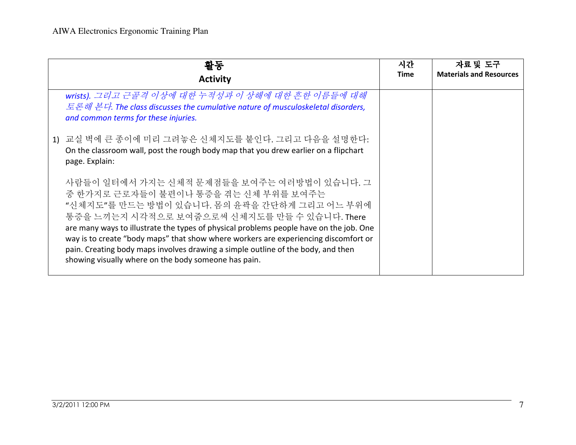| 활동<br><b>Activity</b>                                                                                                                                                                                                                                                                                                                                                                                                                                                                                           | 시간<br><b>Time</b> | 자료 및 도구<br><b>Materials and Resources</b> |
|-----------------------------------------------------------------------------------------------------------------------------------------------------------------------------------------------------------------------------------------------------------------------------------------------------------------------------------------------------------------------------------------------------------------------------------------------------------------------------------------------------------------|-------------------|-------------------------------------------|
| wrists). 그리고 근골격 이상에 대한 누적성과 이 상해에 대한 흔한 이름들에 대해<br>토론해 본다. The class discusses the cumulative nature of musculoskeletal disorders,<br>and common terms for these injuries.                                                                                                                                                                                                                                                                                                                                     |                   |                                           |
| 1) 교실 벽에 큰 종이에 미리 그려놓은 신체지도를 붙인다. 그리고 다음을 설명한다:<br>On the classroom wall, post the rough body map that you drew earlier on a flipchart<br>page. Explain:                                                                                                                                                                                                                                                                                                                                                        |                   |                                           |
| 사람들이 일터에서 가지는 신체적 문제점들을 보여주는 여러방법이 있습니다. 그<br>중 한가지로 근로자들이 불편이나 통증을 겪는 신체 부위를 보여주는<br>"신체지도"를 만드는 방법이 있습니다. 몸의 윤곽을 간단하게 그리고 어느 부위에<br>통증을 느끼는지 시각적으로 보여줌으로써 신체지도를 만들 수 있습니다. There<br>are many ways to illustrate the types of physical problems people have on the job. One<br>way is to create "body maps" that show where workers are experiencing discomfort or<br>pain. Creating body maps involves drawing a simple outline of the body, and then<br>showing visually where on the body someone has pain. |                   |                                           |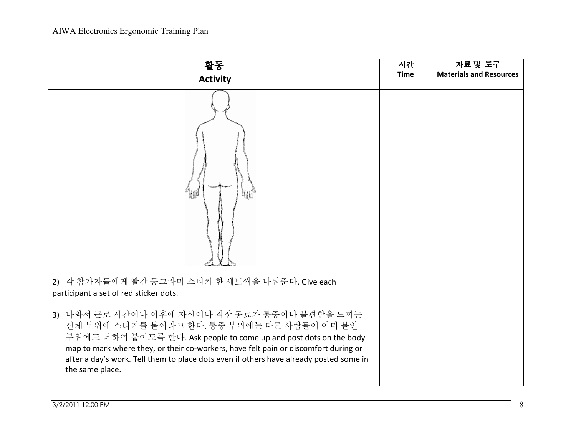| 활동<br><b>Activity</b>                                                                                                                                                                                                                                                                                                                                               | 시간<br><b>Time</b> | 자료 및 도구<br><b>Materials and Resources</b> |
|---------------------------------------------------------------------------------------------------------------------------------------------------------------------------------------------------------------------------------------------------------------------------------------------------------------------------------------------------------------------|-------------------|-------------------------------------------|
|                                                                                                                                                                                                                                                                                                                                                                     |                   |                                           |
| 2) 각 참가자들에게 빨간 동그라미 스티커 한 세트씩을 나눠준다. Give each<br>participant a set of red sticker dots.                                                                                                                                                                                                                                                                            |                   |                                           |
| 3) 나와서 근로 시간이나 이후에 자신이나 직장 동료가 통증이나 불편함을 느끼는<br>신체 부위에 스티커를 붙이라고 한다. 통증 부위에는 다른 사람들이 이미 붙인<br>부위에도 더하여 붙이도록 한다. Ask people to come up and post dots on the body<br>map to mark where they, or their co-workers, have felt pain or discomfort during or<br>after a day's work. Tell them to place dots even if others have already posted some in<br>the same place. |                   |                                           |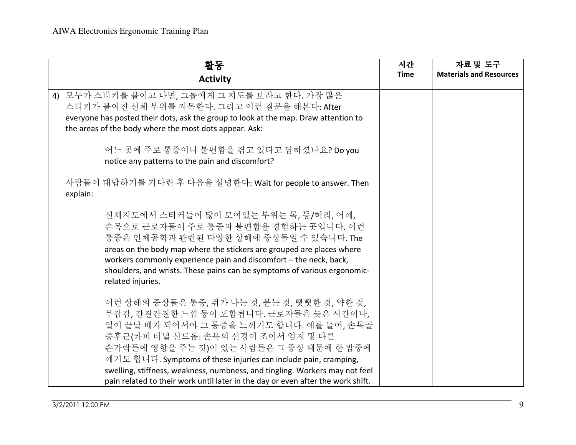| 활동                                                                                                                                                                                                                                                                                                                                                                     | 시간          | 자료 및 도구                        |
|------------------------------------------------------------------------------------------------------------------------------------------------------------------------------------------------------------------------------------------------------------------------------------------------------------------------------------------------------------------------|-------------|--------------------------------|
| <b>Activity</b>                                                                                                                                                                                                                                                                                                                                                        | <b>Time</b> | <b>Materials and Resources</b> |
| 4) 모두가 스티커를 붙이고 나면, 그룹에게 그 지도를 보라고 한다. 가장 많은<br>스티커가 붙여진 신체 부위를 지목한다. 그리고 이런 질문을 해본다: After<br>everyone has posted their dots, ask the group to look at the map. Draw attention to<br>the areas of the body where the most dots appear. Ask:                                                                                                                           |             |                                |
| 어느 곳에 주로 통증이나 불편함을 겪고 있다고 답하셨나요? Do you<br>notice any patterns to the pain and discomfort?                                                                                                                                                                                                                                                                             |             |                                |
| 사람들이 대답하기를 기다린 후 다음을 설명한다: Wait for people to answer. Then<br>explain:                                                                                                                                                                                                                                                                                                 |             |                                |
| 신체지도에서 스티커들이 많이 모여있는 부위는 목, 등/허리, 어깨,<br>손목으로 근로자들이 주로 통증과 불편함을 경험하는 곳입니다. 이런<br>통증은 인체공학과 관련된 다양한 상해에 증상들일 수 있습니다. The<br>areas on the body map where the stickers are grouped are places where<br>workers commonly experience pain and discomfort - the neck, back,<br>shoulders, and wrists. These pains can be symptoms of various ergonomic-<br>related injuries. |             |                                |
| 이런 상해의 증상들은 통증, 쥐가 나는 것, 붇는 것, 뻣뻣한 것, 약한 것,<br>무감감, 간질간질한 느낌 등이 포함됩니다. 근로자들은 늦은 시간이나,<br>일이 끝날 때가 되어서야 그 통증을 느끼기도 합니다. 예를 들어, 손목골<br>증후근(카퍼 터널 신드롬: 손목의 신경이 조여서 엄지 및 다른<br>손가락들에 영향을 주는 것)이 있는 사람들은 그 증상 때문에 한 밤중에<br>깨기도 합니다. Symptoms of these injuries can include pain, cramping,<br>swelling, stiffness, weakness, numbness, and tingling. Workers may not feel   |             |                                |
| pain related to their work until later in the day or even after the work shift.                                                                                                                                                                                                                                                                                        |             |                                |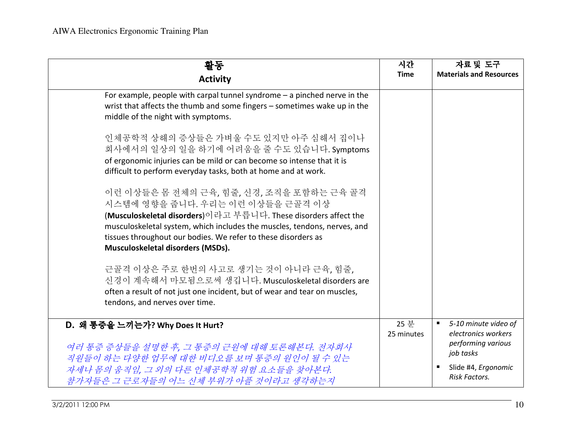| 활동<br><b>Activity</b>                                                                                                                                                                                                                                                                                                             | 시간<br><b>Time</b>  | 자료 및 도구<br><b>Materials and Resources</b>                                                                                                            |
|-----------------------------------------------------------------------------------------------------------------------------------------------------------------------------------------------------------------------------------------------------------------------------------------------------------------------------------|--------------------|------------------------------------------------------------------------------------------------------------------------------------------------------|
| For example, people with carpal tunnel syndrome $-$ a pinched nerve in the<br>wrist that affects the thumb and some fingers - sometimes wake up in the<br>middle of the night with symptoms.                                                                                                                                      |                    |                                                                                                                                                      |
| 인체공학적 상해의 증상들은 가벼울 수도 있지만 아주 심해서 집이나<br>회사에서의 일상의 일을 하기에 어려움을 줄 수도 있습니다. Symptoms<br>of ergonomic injuries can be mild or can become so intense that it is<br>difficult to perform everyday tasks, both at home and at work.                                                                                                      |                    |                                                                                                                                                      |
| 이런 이상들은 몸 전체의 근육, 힘줄, 신경, 조직을 포함하는 근육 골격<br>시스템에 영향을 줍니다. 우리는 이런 이상들을 근골격 이상<br>(Musculoskeletal disorders)이라고 부릅니다. These disorders affect the<br>musculoskeletal system, which includes the muscles, tendons, nerves, and<br>tissues throughout our bodies. We refer to these disorders as<br>Musculoskeletal disorders (MSDs). |                    |                                                                                                                                                      |
| 근골격 이상은 주로 한번의 사고로 생기는 것이 아니라 근육, 힘줄,<br>신경이 계속해서 마모됨으로써 생깁니다. Musculoskeletal disorders are<br>often a result of not just one incident, but of wear and tear on muscles,<br>tendons, and nerves over time.                                                                                                                       |                    |                                                                                                                                                      |
| D. 왜 통증을 느끼는가? Why Does It Hurt?<br>여러 통증 증상들을 설명한 후, 그 통증의 근원에 대해 토론해본다. 전자회사<br>직원들이 하는 다양한 업무에 대한 비디오를 보며 통증의 원인이 될 수 있는<br>자세나 몸의 움직임, 그 외의 다른 인체공학적 위험 요소들을 찾아본다.<br>참가자들은 그 근로자들의 어느 신체 부위가 아플 것이라고 생각하는지                                                                                                                   | 25 분<br>25 minutes | 5-10 minute video of<br>$\blacksquare$<br>electronics workers<br>performing various<br>job tasks<br>Slide #4, Ergonomic<br>ш<br><b>Risk Factors.</b> |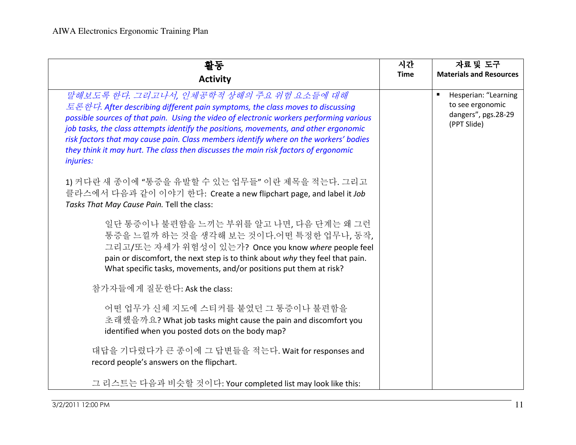| 활동                                                                                                                                                                                                                                                                                                                                                                                                                                                                                                               | 시간          | 자료 및 도구                                                                        |
|------------------------------------------------------------------------------------------------------------------------------------------------------------------------------------------------------------------------------------------------------------------------------------------------------------------------------------------------------------------------------------------------------------------------------------------------------------------------------------------------------------------|-------------|--------------------------------------------------------------------------------|
| <b>Activity</b>                                                                                                                                                                                                                                                                                                                                                                                                                                                                                                  | <b>Time</b> | <b>Materials and Resources</b>                                                 |
| 말해보도록 한다. 그리고나서, 인체공학적 상해의 주요 위험 요소들에 대해<br>토론한다. After describing different pain symptoms, the class moves to discussing<br>possible sources of that pain. Using the video of electronic workers performing various<br>job tasks, the class attempts identify the positions, movements, and other ergonomic<br>risk factors that may cause pain. Class members identify where on the workers' bodies<br>they think it may hurt. The class then discusses the main risk factors of ergonomic<br><i>injuries:</i> |             | Hesperian: "Learning<br>to see ergonomic<br>dangers", pgs.28-29<br>(PPT Slide) |
| 1) 커다란 새 종이에 "통증을 유발할 수 있는 업무들" 이란 제목을 적는다. 그리고<br>클라스에서 다음과 같이 이야기 한다: Create a new flipchart page, and label it Job<br>Tasks That May Cause Pain. Tell the class:                                                                                                                                                                                                                                                                                                                                              |             |                                                                                |
| 일단 통증이나 불편함을 느끼는 부위를 알고 나면, 다음 단계는 왜 그런<br>통증을 느낄까 하는 것을 생각해 보는 것이다.어떤 특정한 업무나, 동작,<br>그리고/또는 자세가 위험성이 있는가? Once you know where people feel<br>pain or discomfort, the next step is to think about why they feel that pain.<br>What specific tasks, movements, and/or positions put them at risk?                                                                                                                                                                                                                |             |                                                                                |
| 참가자들에게 질문한다: Ask the class:                                                                                                                                                                                                                                                                                                                                                                                                                                                                                      |             |                                                                                |
| 어떤 업무가 신체 지도에 스티커를 붙였던 그 통증이나 불편함을<br>초래했을까요? What job tasks might cause the pain and discomfort you<br>identified when you posted dots on the body map?                                                                                                                                                                                                                                                                                                                                                         |             |                                                                                |
| 대답을 기다렸다가 큰 종이에 그 답변들을 적는다. Wait for responses and<br>record people's answers on the flipchart.                                                                                                                                                                                                                                                                                                                                                                                                                  |             |                                                                                |
| 그 리스트는 다음과 비슷할 것이다: Your completed list may look like this:                                                                                                                                                                                                                                                                                                                                                                                                                                                      |             |                                                                                |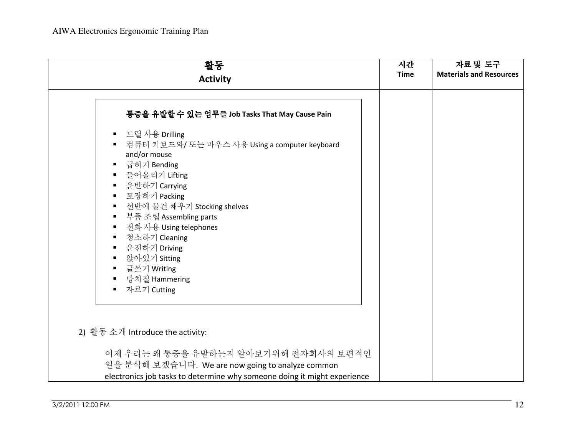| 활동                                                                                                                                                                                                                                                                                                                                                                                                                                                                                                                     | 시간          | 자료 및 도구                        |
|------------------------------------------------------------------------------------------------------------------------------------------------------------------------------------------------------------------------------------------------------------------------------------------------------------------------------------------------------------------------------------------------------------------------------------------------------------------------------------------------------------------------|-------------|--------------------------------|
| <b>Activity</b>                                                                                                                                                                                                                                                                                                                                                                                                                                                                                                        | <b>Time</b> | <b>Materials and Resources</b> |
|                                                                                                                                                                                                                                                                                                                                                                                                                                                                                                                        |             |                                |
| 통중을 유발할 수 있는 업무들 Job Tasks That May Cause Pain                                                                                                                                                                                                                                                                                                                                                                                                                                                                         |             |                                |
| 드릴 사용 Drilling<br>п<br>컴퓨터 키보드와/ 또는 마우스 사용 Using a computer keyboard<br>and/or mouse<br>굽히기 Bending<br>п<br>들어올리기 Lifting<br>$\blacksquare$<br>- 운반하기 Carrying<br>$\blacksquare$<br>포장하기 Packing<br>$\blacksquare$<br>선반에 물건 채우기 Stocking shelves<br>$\blacksquare$<br>부품 조립 Assembling parts<br>$\blacksquare$<br>전화 사용 Using telephones<br>$\blacksquare$<br>청소하기 Cleaning<br>$\blacksquare$<br>운전하기 Driving<br>$\blacksquare$<br>앉아있기 Sitting<br>글쓰기 Writing<br>$\blacksquare$<br>망치질 Hammering<br>자르기 Cutting<br>٠ |             |                                |
| 2) 활동 소개 Introduce the activity:                                                                                                                                                                                                                                                                                                                                                                                                                                                                                       |             |                                |
| 이제 우리는 왜 통증을 유발하는지 알아보기위해 전자회사의 보편적인                                                                                                                                                                                                                                                                                                                                                                                                                                                                                   |             |                                |
| 일을 분석해 보겠습니다. We are now going to analyze common                                                                                                                                                                                                                                                                                                                                                                                                                                                                       |             |                                |
| electronics job tasks to determine why someone doing it might experience                                                                                                                                                                                                                                                                                                                                                                                                                                               |             |                                |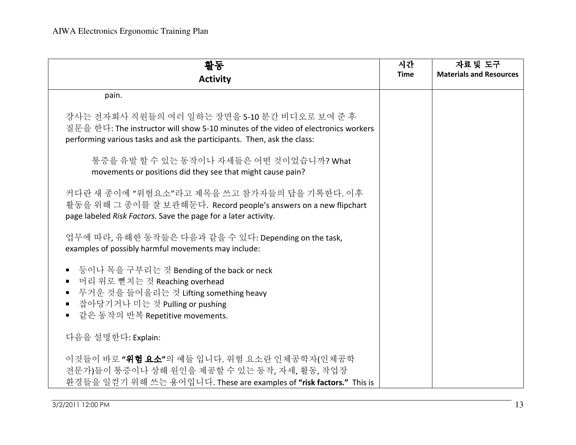| 활동<br><b>Activity</b>                                                                                                                                                                                        | 시간<br><b>Time</b> | 자료 및 도구<br><b>Materials and Resources</b> |
|--------------------------------------------------------------------------------------------------------------------------------------------------------------------------------------------------------------|-------------------|-------------------------------------------|
| pain.                                                                                                                                                                                                        |                   |                                           |
| 강사는 전자회사 직원들의 여러 일하는 장면을 5-10 분간 비디오로 보여 준 후<br>질문을 한다: The instructor will show 5-10 minutes of the video of electronics workers<br>performing various tasks and ask the participants. Then, ask the class: |                   |                                           |
| 통증을 유발 할 수 있는 동작이나 자세들은 어떤 것이었습니까? What<br>movements or positions did they see that might cause pain?                                                                                                        |                   |                                           |
| 커다란 새 종이에 "위험요소"라고 제목을 쓰고 참가자들의 답을 기록한다. 이후<br>활동을 위해 그 종이를 잘 보관해둔다. Record people's answers on a new flipchart<br>page labeled Risk Factors. Save the page for a later activity.                            |                   |                                           |
| 업무에 따라, 유해한 동작들은 다음과 같을 수 있다: Depending on the task,<br>examples of possibly harmful movements may include:                                                                                                  |                   |                                           |
| ■ 등이나 목을 구부리는 것 Bending of the back or neck<br>■ 머리 위로 뻗치는 것 Reaching overhead<br>■ 무거운 것을 들어올리는 것 Lifting something heavy<br>■ 잡아당기거나 미는 것 Pulling or pushing<br>■ 같은 동작의 반복 Repetitive movements.          |                   |                                           |
| 다음을 설명한다: Explain:                                                                                                                                                                                           |                   |                                           |
| 이것들이 바로 "위험 요소"의 예들 입니다. 위험 요소란 인체공학자(인체공학<br>전문가)들이 통증이나 상해 원인을 제공할 수 있는 동작, 자세, 활동, 작업장<br>환경들을 일컫기 위해 쓰는 용어입니다. These are examples of "risk factors." This is                                             |                   |                                           |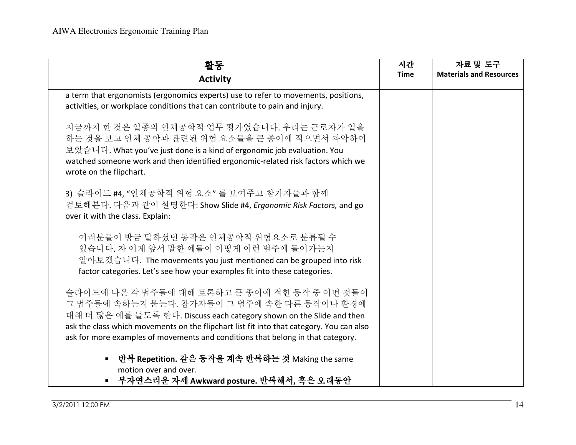| 활동<br><b>Activity</b>                                                                                                                                                                                                                                                                                                                              | 시간<br><b>Time</b> | 자료 및 도구<br><b>Materials and Resources</b> |
|----------------------------------------------------------------------------------------------------------------------------------------------------------------------------------------------------------------------------------------------------------------------------------------------------------------------------------------------------|-------------------|-------------------------------------------|
| a term that ergonomists (ergonomics experts) use to refer to movements, positions,<br>activities, or workplace conditions that can contribute to pain and injury.                                                                                                                                                                                  |                   |                                           |
| 지금까지 한 것은 일종의 인체공학적 업무 평가였습니다. 우리는 근로자가 일을<br>하는 것을 보고 인체 공학과 관련된 위험 요소들을 큰 종이에 적으면서 파악하여<br>보았습니다. What you've just done is a kind of ergonomic job evaluation. You<br>watched someone work and then identified ergonomic-related risk factors which we<br>wrote on the flipchart.                                                                |                   |                                           |
| 3) 슬라이드 #4. "인체공학적 위험 요소" 를 보여주고 참가자들과 함께<br>검토해본다. 다음과 같이 설명한다: Show Slide #4, Ergonomic Risk Factors, and go<br>over it with the class. Explain:                                                                                                                                                                                                 |                   |                                           |
| 여러분들이 방금 말하셨던 동작은 인체공학적 위험요소로 분류될 수<br>있습니다. 자 이제 앞서 말한 예들이 어떻게 이런 범주에 들어가는지<br>알아보겠습니다. The movements you just mentioned can be grouped into risk<br>factor categories. Let's see how your examples fit into these categories.                                                                                                                    |                   |                                           |
| 슬라이드에 나온 각 범주들에 대해 토론하고 큰 종이에 적힌 동작 중 어떤 것들이<br>그 범주들에 속하는지 묻는다. 참가자들이 그 범주에 속한 다른 동작이나 환경에<br>대해 더 많은 예를 들도록 한다. Discuss each category shown on the Slide and then<br>ask the class which movements on the flipchart list fit into that category. You can also<br>ask for more examples of movements and conditions that belong in that category. |                   |                                           |
| ■ 반복 Repetition. 같은 동작을 계속 반복하는 것 Making the same<br>motion over and over.<br>■ 부자연스러운 자세 Awkward posture. 반복해서, 혹은 오래동안                                                                                                                                                                                                                           |                   |                                           |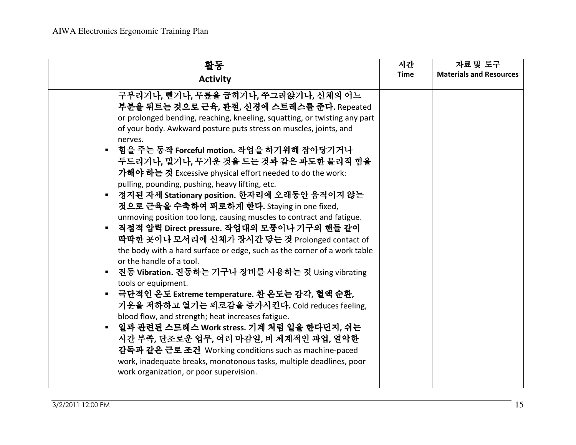| 활동                                                                                                                                                                                                                                                                                                                                                                                                                                                                                                                                                                                                                                                                                                                                                                                                                                                                                                                                                                                                                                                                                                                                                                                                                                                                                                                                                                       | 시간          | 자료 및 도구                        |
|--------------------------------------------------------------------------------------------------------------------------------------------------------------------------------------------------------------------------------------------------------------------------------------------------------------------------------------------------------------------------------------------------------------------------------------------------------------------------------------------------------------------------------------------------------------------------------------------------------------------------------------------------------------------------------------------------------------------------------------------------------------------------------------------------------------------------------------------------------------------------------------------------------------------------------------------------------------------------------------------------------------------------------------------------------------------------------------------------------------------------------------------------------------------------------------------------------------------------------------------------------------------------------------------------------------------------------------------------------------------------|-------------|--------------------------------|
| <b>Activity</b>                                                                                                                                                                                                                                                                                                                                                                                                                                                                                                                                                                                                                                                                                                                                                                                                                                                                                                                                                                                                                                                                                                                                                                                                                                                                                                                                                          | <b>Time</b> | <b>Materials and Resources</b> |
| 구부리거나, 뻗거나, 무릎을 굽히거나, 쭈그려앉거나, 신체의 어느<br>부분을 뒤트는 것으로 근육, 관절, 신경에 스트레스를 준다. Repeated<br>or prolonged bending, reaching, kneeling, squatting, or twisting any part<br>of your body. Awkward posture puts stress on muscles, joints, and<br>nerves.<br>힘을 주는 동작 Forceful motion. 작업을 하기위해 잡아당기거나<br>두드리거나, 밀거나, 무거운 것을 드는 것과 같은 과도한 물리적 힘을<br>가해야 하는 것 Excessive physical effort needed to do the work:<br>pulling, pounding, pushing, heavy lifting, etc.<br>■ 정지된 자세 Stationary position. 한자리에 오래동안 움직이지 않는<br>것으로 근육을 수축하여 피로하게 한다. Staying in one fixed,<br>unmoving position too long, causing muscles to contract and fatigue.<br>직접적 압력 Direct pressure. 작업대의 모퉁이나 기구의 핸들 같이<br>$\blacksquare$<br>딱딱한 곳이나 모서리에 신체가 장시간 닿는 것 Prolonged contact of<br>the body with a hard surface or edge, such as the corner of a work table<br>or the handle of a tool.<br>■ 진동 Vibration. 진동하는 기구나 장비를 사용하는 것 Using vibrating<br>tools or equipment.<br>■ 극단적인 온도 Extreme temperature. 찬 온도는 감각, 혈액 순환,<br>기운을 저하하고 열기는 피로감을 증가시킨다. Cold reduces feeling,<br>blood flow, and strength; heat increases fatigue.<br>▪ 일과 관련된 스트레스 Work stress. 기계 처럼 일을 한다던지, 쉬는<br>시간 부족, 단조로운 업무, 여러 마감일, 비 체계적인 과업, 열악한<br>감독과 같은 근로 조건 Working conditions such as machine-paced<br>work, inadequate breaks, monotonous tasks, multiple deadlines, poor<br>work organization, or poor supervision. |             |                                |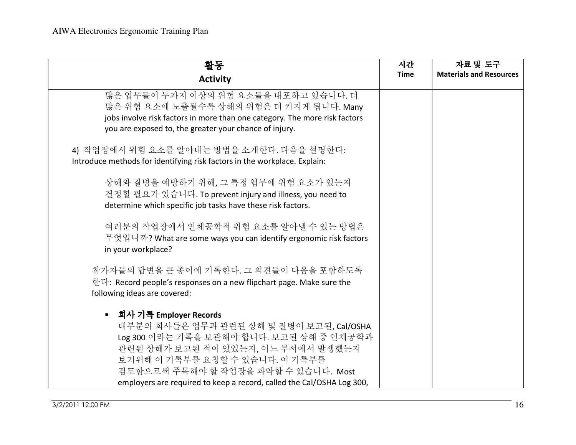| 활동                                                                                                                                                                                                                                                                                                       | 시간          | 자료 및 도구                        |
|----------------------------------------------------------------------------------------------------------------------------------------------------------------------------------------------------------------------------------------------------------------------------------------------------------|-------------|--------------------------------|
| <b>Activity</b>                                                                                                                                                                                                                                                                                          | <b>Time</b> | <b>Materials and Resources</b> |
| 많은 업무들이 두가지 이상의 위험 요소들을 내포하고 있습니다. 더<br>많은 위험 요소에 노출될수록 상해의 위험은 더 커지게 됩니다. Many<br>jobs involve risk factors in more than one category. The more risk factors<br>you are exposed to, the greater your chance of injury.                                                                                  |             |                                |
| 4) 작업장에서 위험 요소를 알아내는 방법을 소개한다. 다음을 설명한다:<br>Introduce methods for identifying risk factors in the workplace. Explain:                                                                                                                                                                                    |             |                                |
| 상해와 질병을 예방하기 위해, 그 특정 업무에 위험 요소가 있는지<br>결정할 필요가 있습니다. To prevent injury and illness, you need to<br>determine which specific job tasks have these risk factors.                                                                                                                                          |             |                                |
| 여러분의 작업장에서 인체공학적 위험 요소를 알아낼 수 있는 방법은<br>무엇입니까? What are some ways you can identify ergonomic risk factors<br>in your workplace?                                                                                                                                                                          |             |                                |
| 참가자들의 답변을 큰 종이에 기록한다. 그 의견들이 다음을 포함하도록<br>한다: Record people's responses on a new flipchart page. Make sure the<br>following ideas are covered:                                                                                                                                                           |             |                                |
| ■ 회사 기록 Employer Records<br>대부분의 회사들은 업무과 관련된 상해 및 질병이 보고된, Cal/OSHA<br>Log 300 이라는 기록을 보관해야 합니다. 보고된 상해 중 인체공학과<br>관련된 상해가 보고된 적이 있었는지, 어느 부서에서 발생했는지<br>보기위해 이 기록부를 요청할 수 있습니다. 이 기록부를<br>검토함으로써 주목해야 할 작업장을 파악할 수 있습니다. Most<br>employers are required to keep a record, called the Cal/OSHA Log 300, |             |                                |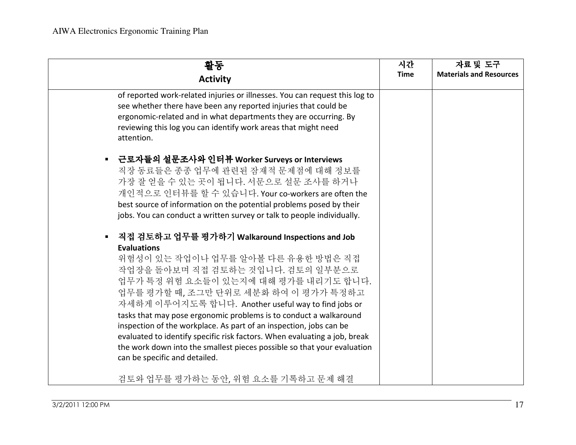| 활동<br><b>Activity</b>                                                                                                                                                                                                                                                                                                                                                                                                                                                                                                                                                                                                                         | 시간<br><b>Time</b> | 자료 및 도구<br><b>Materials and Resources</b> |
|-----------------------------------------------------------------------------------------------------------------------------------------------------------------------------------------------------------------------------------------------------------------------------------------------------------------------------------------------------------------------------------------------------------------------------------------------------------------------------------------------------------------------------------------------------------------------------------------------------------------------------------------------|-------------------|-------------------------------------------|
| of reported work-related injuries or illnesses. You can request this log to<br>see whether there have been any reported injuries that could be<br>ergonomic-related and in what departments they are occurring. By<br>reviewing this log you can identify work areas that might need<br>attention.                                                                                                                                                                                                                                                                                                                                            |                   |                                           |
| 근로자들의 설문조사와 인터뷰 Worker Surveys or Interviews<br>$\blacksquare$<br>직장 동료들은 종종 업무에 관련된 잠재적 문제점에 대해 정보를<br>가장 잘 얻을 수 있는 곳이 됩니다. 서문으로 설문 조사를 하거나<br>개인적으로 인터뷰를 할 수 있습니다. Your co-workers are often the<br>best source of information on the potential problems posed by their<br>jobs. You can conduct a written survey or talk to people individually.                                                                                                                                                                                                                                                                                           |                   |                                           |
| 직접 검토하고 업무를 평가하기 Walkaround Inspections and Job<br>$\blacksquare$<br><b>Evaluations</b><br>위험성이 있는 작업이나 업무를 알아볼 다른 유용한 방법은 직접<br>작업장을 돌아보며 직접 검토하는 것입니다. 검토의 일부분으로<br>업무가 특정 위험 요소들이 있는지에 대해 평가를 내리기도 합니다.<br>업무를 평가할 때, 조그만 단위로 세분화 하여 이 평가가 특정하고<br>자세하게 이루어지도록 합니다. Another useful way to find jobs or<br>tasks that may pose ergonomic problems is to conduct a walkaround<br>inspection of the workplace. As part of an inspection, jobs can be<br>evaluated to identify specific risk factors. When evaluating a job, break<br>the work down into the smallest pieces possible so that your evaluation<br>can be specific and detailed. |                   |                                           |
| 검토와 업무를 평가하는 동안, 위험 요소를 기록하고 문제 해결                                                                                                                                                                                                                                                                                                                                                                                                                                                                                                                                                                                                            |                   |                                           |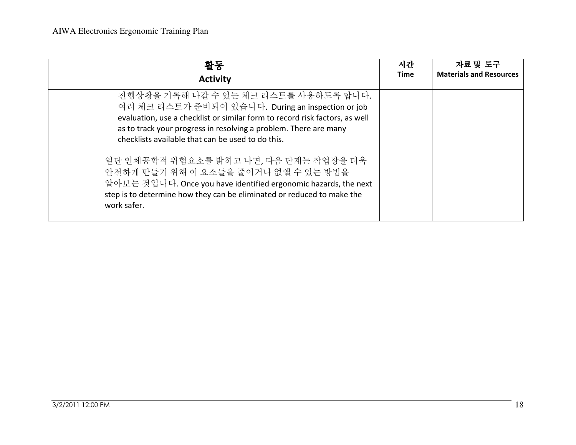| 활동                                                                                                                                                                                                                                                                                                                                                                                                                                                                                                                                            | 시간          | 자료 및 도구                        |
|-----------------------------------------------------------------------------------------------------------------------------------------------------------------------------------------------------------------------------------------------------------------------------------------------------------------------------------------------------------------------------------------------------------------------------------------------------------------------------------------------------------------------------------------------|-------------|--------------------------------|
| <b>Activity</b>                                                                                                                                                                                                                                                                                                                                                                                                                                                                                                                               | <b>Time</b> | <b>Materials and Resources</b> |
| 진행상황을 기록해 나갈 수 있는 체크 리스트를 사용하도록 합니다.<br>여러 체크 리스트가 준비되어 있습니다. During an inspection or job<br>evaluation, use a checklist or similar form to record risk factors, as well<br>as to track your progress in resolving a problem. There are many<br>checklists available that can be used to do this.<br>일단 인체공학적 위험요소를 밝히고 나면, 다음 단계는 작업장을 더욱<br>안전하게 만들기 위해 이 요소들을 줄이거나 없앨 수 있는 방법을<br>알아보는 것입니다. Once you have identified ergonomic hazards, the next<br>step is to determine how they can be eliminated or reduced to make the<br>work safer. |             |                                |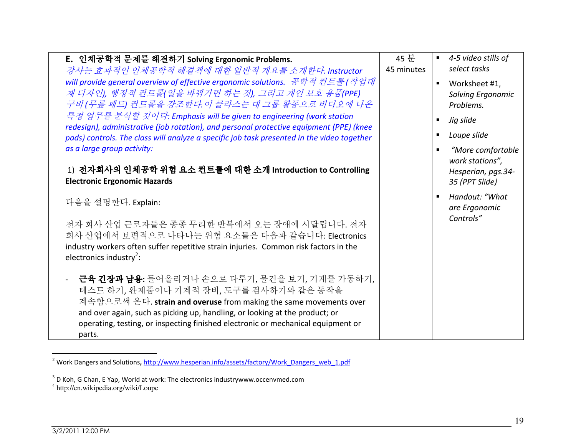| E. 인체공학적 문제를 해결하기 Solving Ergonomic Problems.<br>강사는 효과적인 인체공학적 해결책에 대한 일반적 개요를 소개한다. Instructor<br>will provide general overview of effective ergonomic solutions. 공학적 컨트롤(작업대<br>재 디자인), 행정적 컨트롤(일을 바꿔가면 하는 것), 그리고 개인 보호 용품(PPE)<br>구비 (무릎 패드) 컨트롤을 강조한다. 이 클라스는 대 그룹 활동으로 비디오에 나온<br>특정 업무를 분석할 것이다: Emphasis will be given to engineering (work station<br>redesign), administrative (job rotation), and personal protective equipment (PPE) (knee<br>pads) controls. The class will analyze a specific job task presented in the video together | 45 분<br>45 minutes | 4-5 video stills of<br>$\blacksquare$<br>select tasks<br>Worksheet #1,<br>Solving Ergonomic<br>Problems.<br>Jig slide<br>Loupe slide |
|-------------------------------------------------------------------------------------------------------------------------------------------------------------------------------------------------------------------------------------------------------------------------------------------------------------------------------------------------------------------------------------------------------------------------------------------------------------------------------------------------------------------------------------------------------|--------------------|--------------------------------------------------------------------------------------------------------------------------------------|
| as a large group activity:<br>1) 전자회사의 인체공학 위험 요소 컨트롤에 대한 소개 Introduction to Controlling<br><b>Electronic Ergonomic Hazards</b><br>다음을 설명한다. Explain:                                                                                                                                                                                                                                                                                                                                                                                                 |                    | "More comfortable<br>work stations",<br>Hesperian, pgs.34-<br>35 (PPT Slide)<br>Handout: "What<br>are Ergonomic                      |
| 전자 회사 산업 근로자들은 종종 무리한 반복에서 오는 장애에 시달립니다. 전자<br>회사 산업에서 보편적으로 나타나는 위험 요소들은 다음과 같습니다: Electronics<br>industry workers often suffer repetitive strain injuries. Common risk factors in the<br>electronics industry <sup>2</sup> :                                                                                                                                                                                                                                                                                                                        |                    | Controls"                                                                                                                            |
| 근육 긴장과 남용: 들어올리거나 손으로 다루기, 물건을 보기, 기계를 가동하기,<br>테스트 하기, 완제품이나 기계적 장비, 도구를 검사하기와 같은 동작을<br>계속함으로써 온다. strain and overuse from making the same movements over<br>and over again, such as picking up, handling, or looking at the product; or<br>operating, testing, or inspecting finished electronic or mechanical equipment or<br>parts.                                                                                                                                                                                                              |                    |                                                                                                                                      |

<sup>&</sup>lt;sup>2</sup> Work Dangers and Solutions, http://www.hesperian.info/assets/factory/Work\_Dangers\_web\_1.pdf

 $^3$  D Koh, G Chan, E Yap, World at work: The electronics industrywww.occenvmed.com<br><sup>4</sup> http://en.wikipedia.org/wiki/Loupe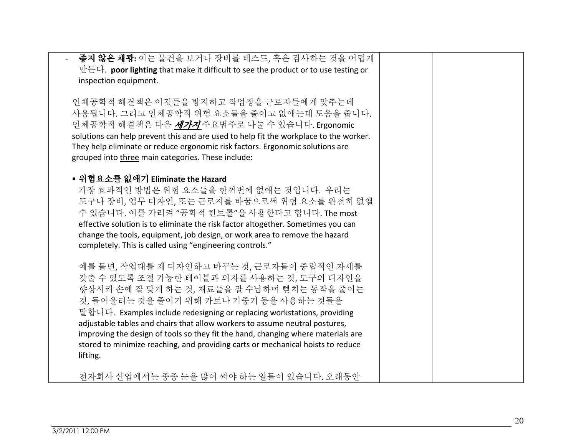| 좋지 않은 채광: 이는 물건을 보거나 장비를 테스트, 혹은 검사하는 것을 어렵게                                                                                                                    |    |
|-----------------------------------------------------------------------------------------------------------------------------------------------------------------|----|
| 만든다. poor lighting that make it difficult to see the product or to use testing or<br>inspection equipment.                                                      |    |
|                                                                                                                                                                 |    |
| 인체공학적 해결책은 이것들을 방지하고 작업장을 근로자들에게 맞추는데                                                                                                                           |    |
| 사용됩니다. 그리고 인체공학적 위험 요소들을 줄이고 없애는데 도움을 줍니다.<br>인체공학적 해결책은 다음 <i>세가지</i> 주요범주로 나눌 수 있습니다. Ergonomic                                                               |    |
| solutions can help prevent this and are used to help fit the workplace to the worker.                                                                           |    |
| They help eliminate or reduce ergonomic risk factors. Ergonomic solutions are                                                                                   |    |
| grouped into three main categories. These include:                                                                                                              |    |
| ▪ 위험요소를 없애기 Eliminate the Hazard                                                                                                                                |    |
| 가장 효과적인 방법은 위험 요소들을 한꺼번에 없애는 것입니다. 우리는                                                                                                                          |    |
| 도구나 장비, 업무 디자인, 또는 근로지를 바꿈으로써 위험 요소를 완전히 없앨<br>수 있습니다. 이를 가리켜 "공학적 컨트롤"을 사용한다고 합니다. The most                                                                    |    |
| effective solution is to eliminate the risk factor altogether. Sometimes you can                                                                                |    |
| change the tools, equipment, job design, or work area to remove the hazard                                                                                      |    |
| completely. This is called using "engineering controls."                                                                                                        |    |
| 예를 들면, 작업대를 재 디자인하고 바꾸는 것, 근로자들이 중립적인 자세를                                                                                                                       |    |
| 갖출 수 있도록 조절 가능한 테이블과 의자를 사용하는 것, 도구의 디자인을<br>향상시켜 손에 잘 맞게 하는 것, 재료들을 잘 수납하여 뻗치는 동작을 줄이는                                                                         |    |
| 것, 들어올리는 것을 줄이기 위해 카트나 기중기 등을 사용하는 것들을                                                                                                                          |    |
| 말합니다. Examples include redesigning or replacing workstations, providing                                                                                         |    |
| adjustable tables and chairs that allow workers to assume neutral postures,<br>improving the design of tools so they fit the hand, changing where materials are |    |
| stored to minimize reaching, and providing carts or mechanical hoists to reduce                                                                                 |    |
| lifting.                                                                                                                                                        |    |
| 전자회사 산업에서는 종종 눈을 많이 써야 하는 일들이 있습니다. 오래동안                                                                                                                        |    |
|                                                                                                                                                                 |    |
|                                                                                                                                                                 |    |
|                                                                                                                                                                 | 20 |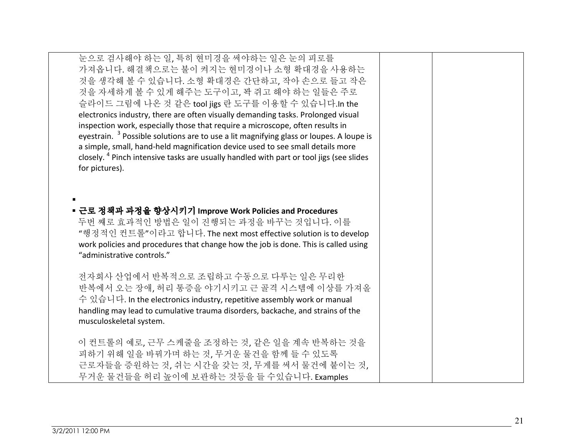| 눈으로 검사해야 하는 일, 특히 현미경을 써야하는 일은 눈의 피로를<br>가져옵니다. 해결책으로는 불이 켜지는 현미경이나 소형 확대경을 사용하는<br>것을 생각해 볼 수 있습니다. 소형 확대경은 간단하고, 작아 손으로 들고 작은<br>것을 자세하게 볼 수 있게 해주는 도구이고, 꽉 쥐고 해야 하는 일들은 주로<br>슬라이드 그림에 나온 것 같은 tool jigs 란 도구를 이용할 수 있습니다.In the<br>electronics industry, there are often visually demanding tasks. Prolonged visual<br>inspection work, especially those that require a microscope, often results in<br>eyestrain. <sup>3</sup> Possible solutions are to use a lit magnifying glass or loupes. A loupe is<br>a simple, small, hand-held magnification device used to see small details more<br>closely. <sup>4</sup> Pinch intensive tasks are usually handled with part or tool jigs (see slides<br>for pictures). |  |
|--------------------------------------------------------------------------------------------------------------------------------------------------------------------------------------------------------------------------------------------------------------------------------------------------------------------------------------------------------------------------------------------------------------------------------------------------------------------------------------------------------------------------------------------------------------------------------------------------------------------------------------------------------------------------------------------------------------------------|--|
| ■ 근로 정책과 과정을 향상시키기 Improve Work Policies and Procedures<br>두번 째로 효과적인 방법은 일이 진행되는 과정을 바꾸는 것입니다. 이를<br>"행정적인 컨트롤"이라고 합니다. The next most effective solution is to develop<br>work policies and procedures that change how the job is done. This is called using<br>"administrative controls."                                                                                                                                                                                                                                                                                                                                                                                                                              |  |
| 전자회사 산업에서 반복적으로 조립하고 수동으로 다루는 일은 무리한<br>반복에서 오는 장애, 허리 통증을 야기시키고 근 골격 시스템에 이상를 가져올<br>수 있습니다. In the electronics industry, repetitive assembly work or manual<br>handling may lead to cumulative trauma disorders, backache, and strains of the<br>musculoskeletal system.                                                                                                                                                                                                                                                                                                                                                                                                                                               |  |
| 이 컨트롤의 예로, 근무 스케줄을 조정하는 것, 같은 일을 계속 반복하는 것을<br>피하기 위해 일을 바꿔가며 하는 것, 무거운 물건을 함께 들 수 있도록<br>근로자들을 증원하는 것, 쉬는 시간을 갖는 것, 무게를 써서 물건에 붙이는 것,<br>무거운 물건들을 허리 높이에 보관하는 것등을 들 수있습니다. Examples                                                                                                                                                                                                                                                                                                                                                                                                                                                                                                                                     |  |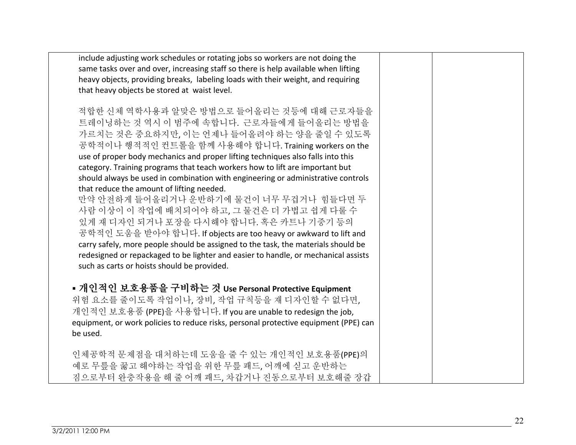| include adjusting work schedules or rotating jobs so workers are not doing the<br>same tasks over and over, increasing staff so there is help available when lifting<br>heavy objects, providing breaks, labeling loads with their weight, and requiring<br>that heavy objects be stored at waist level.                                                                                                                                                                                                                                                                                                                                                                                                                                                                                                                                                                                                                           |  |
|------------------------------------------------------------------------------------------------------------------------------------------------------------------------------------------------------------------------------------------------------------------------------------------------------------------------------------------------------------------------------------------------------------------------------------------------------------------------------------------------------------------------------------------------------------------------------------------------------------------------------------------------------------------------------------------------------------------------------------------------------------------------------------------------------------------------------------------------------------------------------------------------------------------------------------|--|
| 적합한 신체 역학사용과 알맞은 방법으로 들어올리는 것등에 대해 근로자들을<br>트레이닝하는 것 역시 이 범주에 속합니다. 근로자들에게 들어올리는 방법을<br>가르치는 것은 중요하지만, 이는 언제나 들어올려야 하는 양을 줄일 수 있도록<br>공학적이나 행적적인 컨트롤을 함께 사용해야 합니다. Training workers on the<br>use of proper body mechanics and proper lifting techniques also falls into this<br>category. Training programs that teach workers how to lift are important but<br>should always be used in combination with engineering or administrative controls<br>that reduce the amount of lifting needed.<br>만약 안전하게 들어올리거나 운반하기에 물건이 너무 무겁거나 힘들다면 두<br>사람 이상이 이 작업에 배치되어야 하고, 그 물건은 더 가볍고 쉽게 다룰 수<br>있게 재 디자인 되거나 포장을 다시해야 합니다. 혹은 카트나 기중기 등의<br>공학적인 도움을 받아야 합니다. If objects are too heavy or awkward to lift and<br>carry safely, more people should be assigned to the task, the materials should be<br>redesigned or repackaged to be lighter and easier to handle, or mechanical assists<br>such as carts or hoists should be provided. |  |
| ■ 개인적인 보호용품을 구비하는 것 Use Personal Protective Equipment<br>위험 요소를 줄이도록 작업이나, 장비, 작업 규칙등을 재 디자인할 수 없다면,<br>개인적인 보호용품 (PPE)을 사용합니다. If you are unable to redesign the job,<br>equipment, or work policies to reduce risks, personal protective equipment (PPE) can<br>be used.                                                                                                                                                                                                                                                                                                                                                                                                                                                                                                                                                                                                                                                         |  |
| 인체공학적 문제점을 대처하는데 도움을 줄 수 있는 개인적인 보호용품(PPE)의<br>예로 무릎을 꿇고 해야하는 작업을 위한 무릎 패드, 어깨에 싣고 운반하는<br>짐으로부터 완충작용을 해 줄 어깨 패드, 차갑거나 진동으로부터 보호해줄 장갑                                                                                                                                                                                                                                                                                                                                                                                                                                                                                                                                                                                                                                                                                                                                                                                              |  |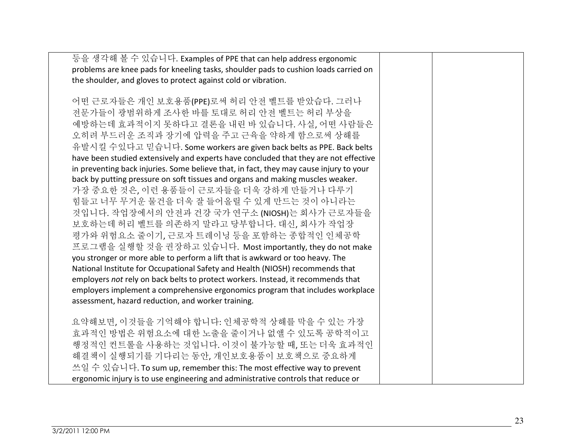| 등을 생각해 볼 수 있습니다. Examples of PPE that can help address ergonomic                       |  |
|----------------------------------------------------------------------------------------|--|
| problems are knee pads for kneeling tasks, shoulder pads to cushion loads carried on   |  |
| the shoulder, and gloves to protect against cold or vibration.                         |  |
|                                                                                        |  |
| 어떤 근로자들은 개인 보호용품(PPE)로써 허리 안전 벨트를 받았습다. 그러나                                            |  |
| 전문가들이 광범위하게 조사한 바를 토대로 허리 안전 벨트는 허리 부상을                                                |  |
| 예방하는데 효과적이지 못하다고 결론을 내린 바 있습니다. 사실, 어떤 사람들은                                            |  |
| 오히려 부드러운 조직과 장기에 압력을 주고 근육을 약하게 함으로써 상해를                                               |  |
| 유발시킬 수있다고 믿습니다. Some workers are given back belts as PPE. Back belts                   |  |
| have been studied extensively and experts have concluded that they are not effective   |  |
| in preventing back injuries. Some believe that, in fact, they may cause injury to your |  |
| back by putting pressure on soft tissues and organs and making muscles weaker.         |  |
| 가장 중요한 것은, 이런 용품들이 근로자들을 더욱 강하게 만들거나 다루기                                               |  |
| 힘들고 너무 무거운 물건을 더욱 잘 들어올릴 수 있게 만드는 것이 아니라는                                              |  |
| 것입니다. 작업장에서의 안전과 건강 국가 연구소 (NIOSH)는 회사가 근로자들을                                          |  |
| 보호하는데 허리 벨트를 의존하지 말라고 당부합니다. 대신, 회사가 작업장                                               |  |
| 평가와 위험요소 줄이기, 근로자 트레이닝 등을 포함하는 종합적인 인체공학                                               |  |
| 프로그램을 실행할 것을 권장하고 있습니다. Most importantly, they do not make                             |  |
| you stronger or more able to perform a lift that is awkward or too heavy. The          |  |
| National Institute for Occupational Safety and Health (NIOSH) recommends that          |  |
| employers not rely on back belts to protect workers. Instead, it recommends that       |  |
| employers implement a comprehensive ergonomics program that includes workplace         |  |
| assessment, hazard reduction, and worker training.                                     |  |
|                                                                                        |  |
| 요약해보면, 이것들을 기억해야 합니다: 인체공학적 상해를 막을 수 있는 가장                                             |  |
| 효과적인 방법은 위험요소에 대한 노출을 줄이거나 없앨 수 있도록 공학적이고                                              |  |
| 행정적인 컨트롤을 사용하는 것입니다. 이것이 불가능할 때, 또는 더욱 효과적인                                            |  |
| 해결책이 실행되기를 기다리는 동안, 개인보호용품이 보호책으로 중요하게                                                 |  |
| 쓰일 수 있습니다. To sum up, remember this: The most effective way to prevent                 |  |
| ergonomic injury is to use engineering and administrative controls that reduce or      |  |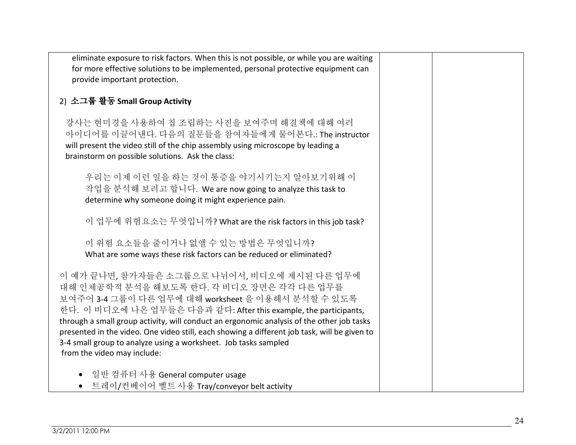| eliminate exposure to risk factors. When this is not possible, or while you are waiting<br>for more effective solutions to be implemented, personal protective equipment can<br>provide important protection.                                                                                                                                                                                                                                                                                                    |  |
|------------------------------------------------------------------------------------------------------------------------------------------------------------------------------------------------------------------------------------------------------------------------------------------------------------------------------------------------------------------------------------------------------------------------------------------------------------------------------------------------------------------|--|
| 2) 소그룹 활동 Small Group Activity                                                                                                                                                                                                                                                                                                                                                                                                                                                                                   |  |
| 강사는 현미경을 사용하여 칩 조립하는 사진을 보여주며 해결책에 대해 여러<br>아이디어를 이끌어낸다. 다음의 질문들을 참여자들에게 물어본다.: The instructor<br>will present the video still of the chip assembly using microscope by leading a<br>brainstorm on possible solutions. Ask the class:                                                                                                                                                                                                                                                                            |  |
| 우리는 이제 이런 일을 하는 것이 통증을 야기시키는지 알아보기위해 이<br>작업을 분석해 보려고 합니다. We are now going to analyze this task to<br>determine why someone doing it might experience pain.                                                                                                                                                                                                                                                                                                                                                     |  |
| 이 업무에 위험요소는 무엇입니까? What are the risk factors in this job task?                                                                                                                                                                                                                                                                                                                                                                                                                                                   |  |
| 이 위험 요소들을 줄이거나 없앨 수 있는 방법은 무엇입니까?<br>What are some ways these risk factors can be reduced or eliminated?                                                                                                                                                                                                                                                                                                                                                                                                         |  |
| 이 예가 끝나면, 참가자들은 소그룹으로 나뉘어서, 비디오에 제시된 다른 업무에<br>대해 인체공학적 분석을 해보도록 한다. 각 비디오 장면은 각각 다른 업무를<br>보여주어 3-4 그룹이 다른 업무에 대해 worksheet 을 이용해서 분석할 수 있도록<br>한다. 이 비디오에 나온 업무들은 다음과 같다: After this example, the participants,<br>through a small group activity, will conduct an ergonomic analysis of the other job tasks<br>presented in the video. One video still, each showing a different job task, will be given to<br>3-4 small group to analyze using a worksheet. Job tasks sampled<br>from the video may include: |  |
| 일반 컴퓨터 사용 General computer usage<br>• 트레이/컨베이어 벨트 사용 Tray/conveyor belt activity                                                                                                                                                                                                                                                                                                                                                                                                                                 |  |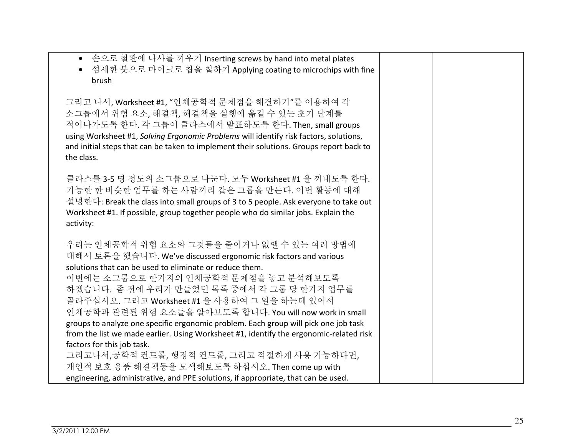| • 손으로 철판에 나사를 끼우기 Inserting screws by hand into metal plates<br>• 섬세한 붓으로 마이크로 칩을 칠하기 Applying coating to microchips with fine<br>brush                                                                                                                                                                                                                                                                                                                          |  |
|------------------------------------------------------------------------------------------------------------------------------------------------------------------------------------------------------------------------------------------------------------------------------------------------------------------------------------------------------------------------------------------------------------------------------------------------------------------|--|
| 그리고 나서, Worksheet #1, "인체공학적 문제점을 해결하기"를 이용하여 각<br>소그룹에서 위험 요소, 해결책, 해결책을 실행에 옮길 수 있는 초기 단계를<br>적어나가도록 한다. 각 그룹이 클라스에서 발표하도록 한다. Then, small groups<br>using Worksheet #1, Solving Ergonomic Problems will identify risk factors, solutions,<br>and initial steps that can be taken to implement their solutions. Groups report back to<br>the class.                                                                                                            |  |
| 클라스를 3-5 명 정도의 소그룹으로 나눈다. 모두 Worksheet #1 을 꺼내도록 한다.<br>가능한 한 비슷한 업무를 하는 사람끼리 같은 그룹을 만든다. 이번 활동에 대해<br>설명한다: Break the class into small groups of 3 to 5 people. Ask everyone to take out<br>Worksheet #1. If possible, group together people who do similar jobs. Explain the<br>activity:                                                                                                                                                                      |  |
| 우리는 인체공학적 위험 요소와 그것들을 줄이거나 없앨 수 있는 여러 방법에<br>대해서 토론을 했습니다. We've discussed ergonomic risk factors and various<br>solutions that can be used to eliminate or reduce them.<br>이번에는 소그룹으로 한가지의 인체공학적 문제점을 놓고 분석해보도록<br>하겠습니다. 좀 전에 우리가 만들었던 목록 중에서 각 그룹 당 한가지 업무를<br>골라주십시오. 그리고 Worksheet #1 을 사용하여 그 일을 하는데 있어서<br>인체공학과 관련된 위험 요소들을 알아보도록 합니다. You will now work in small<br>groups to analyze one specific ergonomic problem. Each group will pick one job task |  |
| from the list we made earlier. Using Worksheet #1, identify the ergonomic-related risk<br>factors for this job task.                                                                                                                                                                                                                                                                                                                                             |  |
| 그리고나서,공학적 컨트롤, 행정적 컨트롤, 그리고 적절하게 사용 가능하다면,                                                                                                                                                                                                                                                                                                                                                                                                                       |  |
| 개인적 보호 용품 해결책등을 모색해보도록 하십시오. Then come up with                                                                                                                                                                                                                                                                                                                                                                                                                   |  |
| engineering, administrative, and PPE solutions, if appropriate, that can be used.                                                                                                                                                                                                                                                                                                                                                                                |  |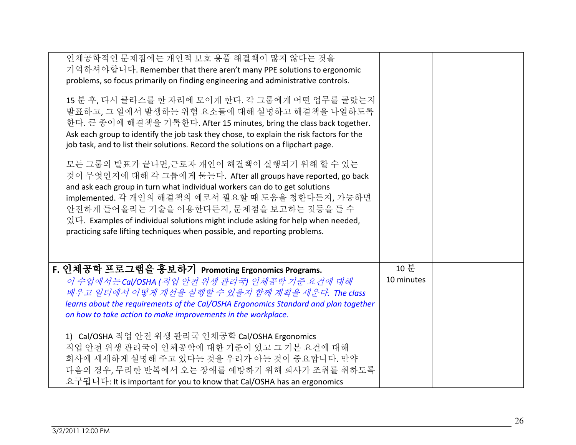| 인체공학적인 문제점에는 개인적 보호 용품 해결책이 많지 않다는 것을<br>기억하셔야합니다. Remember that there aren't many PPE solutions to ergonomic<br>problems, so focus primarily on finding engineering and administrative controls.<br>15 분 후, 다시 클라스를 한 자리에 모이게 한다. 각 그룹에게 어떤 업무를 골랐는지<br>발표하고, 그 일에서 발생하는 위험 요소들에 대해 설명하고 해결책을 나열하도록<br>한다. 큰 종이에 해결책을 기록한다. After 15 minutes, bring the class back together.<br>Ask each group to identify the job task they chose, to explain the risk factors for the<br>job task, and to list their solutions. Record the solutions on a flipchart page.<br>모든 그룹의 발표가 끝나면,근로자 개인이 해결책이 실행되기 위해 할 수 있는<br>것이 무엇인지에 대해 각 그룹에게 묻는다. After all groups have reported, go back<br>and ask each group in turn what individual workers can do to get solutions<br>implemented. 각 개인의 해결책의 예로서 필요할 때 도움을 청한다든지, 가능하면<br>안전하게 들어올리는 기술을 이용한다든지, 문제점을 보고하는 것등을 들 수<br>있다. Examples of individual solutions might include asking for help when needed,<br>practicing safe lifting techniques when possible, and reporting problems. |                    |  |
|------------------------------------------------------------------------------------------------------------------------------------------------------------------------------------------------------------------------------------------------------------------------------------------------------------------------------------------------------------------------------------------------------------------------------------------------------------------------------------------------------------------------------------------------------------------------------------------------------------------------------------------------------------------------------------------------------------------------------------------------------------------------------------------------------------------------------------------------------------------------------------------------------------------------------------------------------------------------------------------------------------------------------|--------------------|--|
| F. 인체공학 프로그램을 홍보하기 Promoting Ergonomics Programs.<br>이 수업에서는 Cal/OSHA (직업 안전 위생 관리국) 인체공학 기준 요건에 대해<br>배우고 일터에서 어떻게 개선을 실행할 수 있을지 함께 계획을 세운다. The class<br>learns about the requirements of the Cal/OSHA Ergonomics Standard and plan together<br>on how to take action to make improvements in the workplace.<br>1) Cal/OSHA 직업 안전 위생 관리국 인체공학 Cal/OSHA Ergonomics<br>직업 안전 위생 관리국이 인체공학에 대한 기준이 있고 그 기본 요건에 대해<br>회사에 세세하게 설명해 주고 있다는 것을 우리가 아는 것이 중요합니다. 만약<br>다음의 경우, 무리한 반복에서 오는 장애를 예방하기 위해 회사가 조취를 취하도록<br>요구됩니다: It is important for you to know that Cal/OSHA has an ergonomics                                                                                                                                                                                                                                                                                                                                                                                                                                     | 10 분<br>10 minutes |  |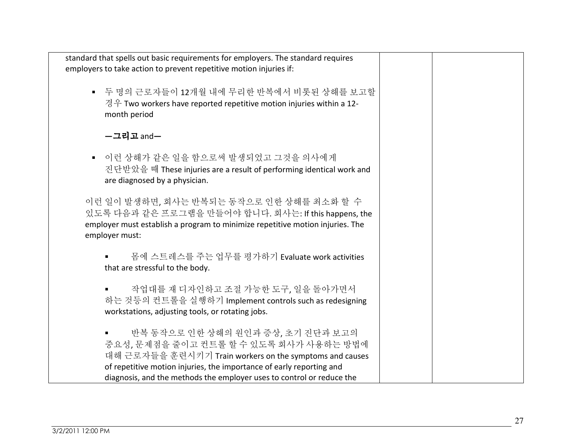| standard that spells out basic requirements for employers. The standard requires<br>employers to take action to prevent repetitive motion injuries if:                                                                                                                                  |  |
|-----------------------------------------------------------------------------------------------------------------------------------------------------------------------------------------------------------------------------------------------------------------------------------------|--|
| ■ 두 명의 근로자들이 12개월 내에 무리한 반복에서 비롯된 상해를 보고할<br>경우 Two workers have reported repetitive motion injuries within a 12-<br>month period                                                                                                                                                       |  |
| -그리고 and-                                                                                                                                                                                                                                                                               |  |
| 이런 상해가 같은 일을 함으로써 발생되었고 그것을 의사에게<br>$\blacksquare$<br>진단받았을 때 These injuries are a result of performing identical work and<br>are diagnosed by a physician.                                                                                                                             |  |
| 이런 일이 발생하면, 회사는 반복되는 동작으로 인한 상해를 최소화 할 수<br>있도록 다음과 같은 프로그램을 만들어야 합니다. 회사는: If this happens, the<br>employer must establish a program to minimize repetitive motion injuries. The<br>employer must:                                                                                     |  |
| 몸에 스트레스를 주는 업무를 평가하기 Evaluate work activities<br>that are stressful to the body.                                                                                                                                                                                                        |  |
| 작업대를 재 디자인하고 조절 가능한 도구, 일을 돌아가면서<br>하는 것등의 컨트롤을 실행하기 Implement controls such as redesigning<br>workstations, adjusting tools, or rotating jobs.                                                                                                                                         |  |
| 반복 동작으로 인한 상해의 원인과 증상, 초기 진단과 보고의<br>중요성, 문제점을 줄이고 컨트롤 할 수 있도록 회사가 사용하는 방법에<br>대해 근로자들을 훈련시키기 Train workers on the symptoms and causes<br>of repetitive motion injuries, the importance of early reporting and<br>diagnosis, and the methods the employer uses to control or reduce the |  |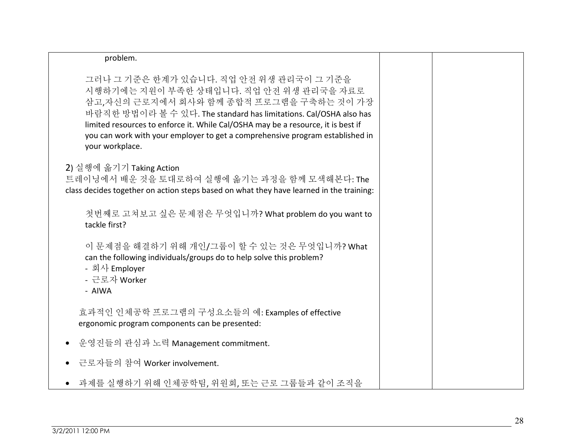| problem.                                                                                                                                                                                                                                                                                                                                                                                    |  |
|---------------------------------------------------------------------------------------------------------------------------------------------------------------------------------------------------------------------------------------------------------------------------------------------------------------------------------------------------------------------------------------------|--|
| 그러나 그 기준은 한계가 있습니다. 직업 안전 위생 관리국이 그 기준을<br>시행하기에는 지원이 부족한 상태입니다. 직업 안전 위생 관리국을 자료로<br>삼고,자신의 근로지에서 회사와 함께 종합적 프로그램을 구축하는 것이 가장<br>바람직한 방법이라 볼 수 있다. The standard has limitations. Cal/OSHA also has<br>limited resources to enforce it. While Cal/OSHA may be a resource, it is best if<br>you can work with your employer to get a comprehensive program established in<br>your workplace. |  |
| 2) 실행에 옮기기 Taking Action<br>트레이닝에서 배운 것을 토대로하여 실행에 옮기는 과정을 함께 모색해본다: The<br>class decides together on action steps based on what they have learned in the training:                                                                                                                                                                                                                         |  |
| 첫번째로 고쳐보고 싶은 문제점은 무엇입니까? What problem do you want to<br>tackle first?                                                                                                                                                                                                                                                                                                                       |  |
| 이 문제점을 해결하기 위해 개인/그룹이 할 수 있는 것은 무엇입니까? What<br>can the following individuals/groups do to help solve this problem?<br>- 회사 Employer<br>- 근로자 Worker<br>- AIWA                                                                                                                                                                                                                               |  |
| 효과적인 인체공학 프로그램의 구성요소들의 예: Examples of effective<br>ergonomic program components can be presented:                                                                                                                                                                                                                                                                                           |  |
| 운영진들의 관심과 노력 Management commitment.<br>$\bullet$                                                                                                                                                                                                                                                                                                                                            |  |
| 근로자들의 참여 Worker involvement.                                                                                                                                                                                                                                                                                                                                                                |  |
| 과제를 실행하기 위해 인체공학팀, 위원회, 또는 근로 그룹들과 같이 조직을                                                                                                                                                                                                                                                                                                                                                   |  |